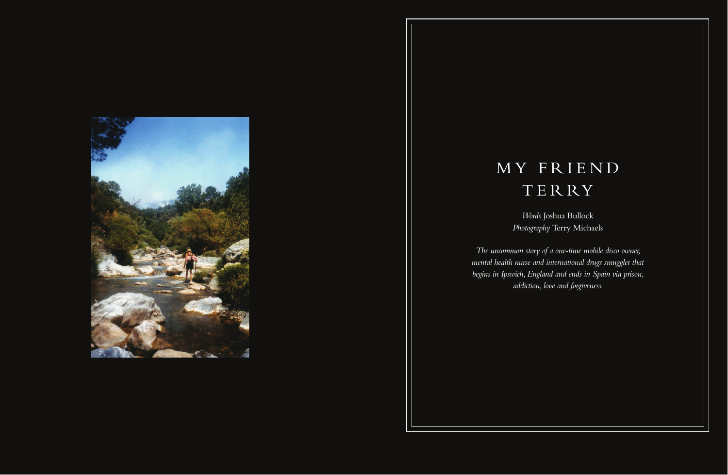

## M Y F R I E N D TERRY

*The uncommon story of a one-time mobile disco owner, mental health nurse and international drugs smuggler that begins in Ipswich, England and ends in Spain via prison, addiction, love and forgiveness.*

*Words* Joshua Bullock *Photography* Terry Michaels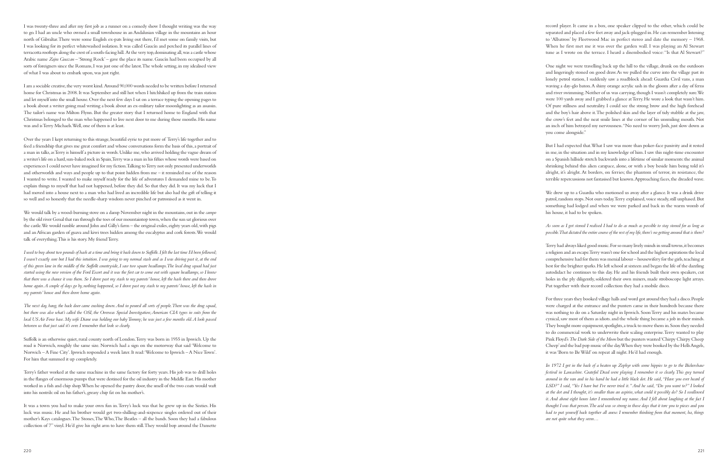record player. It came in a box, one speaker clipped to the other, which could be separated and placed a few feet away and jack-plugged in. He can remember listening to 'Albatross' by Fleetwood Mac in perfect stereo and date the memory – 1968. When he first met me it was over the garden wall. I was playing an Al Stewart tune as I wrote on the terrace. I heard a disembodied voice: "Is that Al Stewart?"

One night we were travelling back up the hill to the village, drunk on the outdoors and lingeringly stoned on good draw. As we pulled the curve into the village past its lonely petrol station, I suddenly saw a roadblock ahead: Guardia Civil vans, a man waving a day-glo baton. A shiny orange acrylic sash in the gloom after a day of ferns and river swimming. Neither of us was carrying, though I wasn't completely sure. We were 100 yards away and I grabbed a glance at Terry. He wore a look that wasn't him. Of pure stillness and neutrality. I could see the strong brow and the high forehead and the boy's hair above it. The polished skin and the layer of tidy stubble at the jaw, the crow's feet and the neat smile lines at the corner of his unsmiling mouth. Not an inch of him betrayed my nervousness. "No need to worry Josh, just slow down as you come alongside."

We drew up to a Guardia who motioned us away after a glance. It was a drink drive patrol, random stops. Not ours today. Terry explained, voice steady, still unphased. But something had lodged and when we were parked and back in the warm womb of his house, it had to be spoken.

But I had expected that. What I saw was more than poker-face passivity and it rested in me, in the situation and in my knowledge of him. I saw this night-time encounter on a Spanish hillside stretch backwards into a lifetime of similar moments: the animal shrinking behind this alien carapace, alone, or with a boy beside him being told it's alright, it's alright. At borders, on ferries; the phantom of terror, its resistance, the terrible repercussions not fantasised but known. Approaching faces, the dreaded wave.

## *As soon as I got stoned I realised I had to do as much as possible to stay stoned for as long as possible. That dictated the entire course of the rest of my life, there's no getting around that is there?*

Terry had always liked good music. For so many lively minds in small towns, it becomes a religion and an escape. Terry wasn't one for school and the highest aspirations the local comprehensive had for them was menial labour – housewifery for the girls, teaching at best for the brighter sparks. He left school at sixteen and began the life of the dazzling autodidact he continues to this day. He and his friends built their own speakers, cut holes in the ply diligently, soldered their own mixers, made stroboscope light arrays. Put together with their record collection they had a mobile disco.

For three years they booked village halls and word got around they had a disco. People were charged at the entrance and the punters came in their hundreds because there was nothing to do on a Saturday night in Ipswich. Soon Terry and his mates became cynical, saw most of them as idiots. and the whole thing became a job in their minds. They bought more equipment, spotlights, a truck to move them in. Soon they needed to do commercial work to underwrite their scaling enterprise. Terry wanted to play Pink Floyd's *The Dark Side of the Moon* but the punters wanted 'Chirpy Chirpy Cheep Cheep' and the bad pop music of the day. When they were booked by the Hells Angels, it was 'Born to Be Wild' on repeat all night. He'd had enough.

*In 1972 I got in the back of a beaten up Zephyr with some hippies to go to the Bickershaw festival in Lancashire. Grateful Dead were playing. I remember it so clearly. This guy turned around in the van and in his hand he had a little black dot. He said, "Have you ever heard of LSD?" I said, "Yes I have but I've never tried it." And he said, "Do you want to?" I looked at the dot and I thought, it's smaller than an aspirin, what could it possibly do? So I swallowed it. And about eight hours later I remembered my name. And I fell about laughing at the fact I thought I was that person. The acid was so strong in those days that it tore you to pieces and you had to put yourself back together all anew. I remember thinking from that moment, ha, things are not quite what they seem…*

I was twenty-three and after my first job as a runner on a comedy show I thought writing was the way to go. I had an uncle who owned a small townhouse in an Andalusian village in the mountains an hour north of Gibraltar. There were some English ex-pats living out there, I'd met some on family visits, but I was looking for its perfect whitewashed isolation. It was called Gaucín and perched its parallel lines of terracotta rooftops along the crest of a south-facing hill. At the very top, dominating all, was a castle whose Arabic name *Zajra Guazan* – 'Strong Rock' – gave the place its name. Gaucín had been occupied by all sorts of foreigners since the Romans, I was just one of the latest. The whole setting, in my idealised view of what I was about to embark upon, was just right.

I am a sociable creative, the very worst kind. Around 90,000 words needed to be written before I returned home for Christmas in 2008. It was September and still hot when I hitchhiked up from the train station and let myself into the small house. Over the next few days I sat on a terrace typing the opening pages to a book about a writer going mad writing a book about an ex-military tailor moonlighting as an assassin. The tailor's name was Milton Flynn. But the greater story that I returned home to England with that Christmas belonged to the man who happened to live next door to me during those months. His name was and is Terry Michaels. Well, one of them is at least.

Over the years I kept returning to this strange, beautiful eyrie to put more of Terry's life together and to feed a friendship that gives me great comfort and whose conversations form the basis of this, a portrait of a man in talks, as Terry is himself a picture in words. Unlike me, who arrived holding the vague dream of a writer's life on a hard, sun-baked rock in Spain, Terry was a man in his fifties whose words were based on experiences I could never have imagined for my fiction. Talking to Terry not only presented underworlds and otherworlds and ways and people up to that point hidden from me – it reminded me of the reason I wanted to write. I wanted to make myself ready for the life of adventures I demanded mine to be. To explain things to myself that had not happened, before they did. So that they did. It was my luck that I had moved into a house next to a man who had lived an incredible life but also had the gift of telling it so well and so honestly that the needle-sharp wisdom never pinched or patronised as it went in.

We would talk by a wood-burning stove on a damp November night in the mountains, out in the *campo* by the old river Genal that ran through the toes of our mountaintop town, when the sun sat glorious over the castle. We would ramble around John and Gilly's farm – the original exiles, eighty years old, with pigs and an African garden of guava and kiwi trees hidden among the eucalyptus and cork forests. We would talk of everything. This is his story. My friend Terry.

*I used to buy about two pounds of hash at a time and bring it back down to Suffolk. I felt the last time I'd been followed; I wasn't exactly sure but I had this intuition. I was going to my normal stash and as I was driving past it, at the end of this green lane in the middle of the Suffolk countryside, I saw two square headlamps. The local drug squad had just started using the new version of the Ford Escort and it was the first car to come out with square headlamps, so I knew that there was a chance it was them. So I drove past my stash to my parents' house, left the hash there and then drove home again. A couple of days go by, nothing happened, so I drove past my stash to my parents' house, left the hash in my parents' house and then drove home again.*

*The next day, bang, the back door came crashing down. And in poured all sorts of people. There was the drug squad, but there was also what's called the OSI, the Overseas Special Investigation; American CIA types in suits from the local US Air Force base. My wife Diane was holding our baby Tommy; he was just a few months old. A look passed between us that just said it's over. I remember that look so clearly.*

Suffolk is an otherwise quiet, rural county north of London. Terry was born in 1955 in Ipswich. Up the road is Norwich, roughly the same size. Norwich had a sign on the motorway that said 'Welcome to Norwich – A Fine City'. Ipswich responded a week later. It read: 'Welcome to Ipswich – A Nice Town'. For him that summed it up completely.

Terry's father worked at the same machine in the same factory for forty years. His job was to drill holes in the flanges of enormous pumps that were destined for the oil industry in the Middle East. His mother worked in a fish and chip shop. When he opened the pantry door, the smell of the two coats would waft into his nostrils: oil on his father's, greasy chip fat on his mother's.

It was a town you had to make your own fun in. Terry's luck was that he grew up in the Sixties. His luck was music. He and his brother would get two-shilling-and-sixpence singles ordered out of their mother's Kays catalogues. The Stones, The Who, The Beatles – all the bands. Soon they had a fabulous collection of 7" vinyl. He'd give his right arm to have them still. They would bop around the Dansette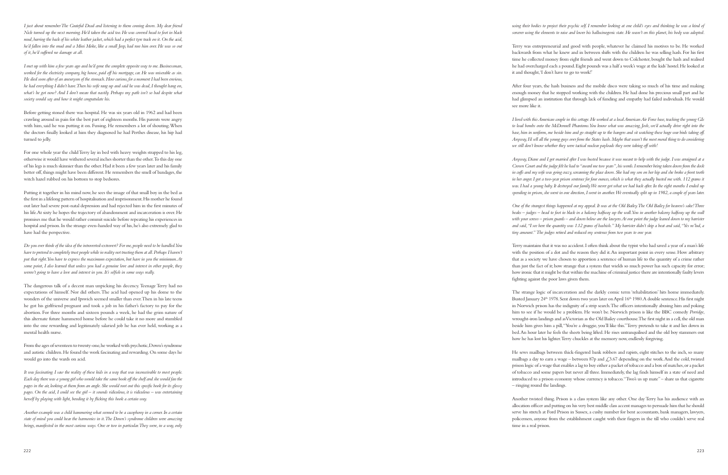*using their bodies to project their psychic self. I remember looking at one child's eyes and thinking he was a kind of sorcerer using the elements to raise and lower his hallucinogenic state. He wasn't on this planet, his body was adopted.*

Terry was entrepreneurial and good with people, whatever he claimed his motives to be. He worked backwards from what he knew and in between shifts with the children he was selling hash. For his first time he collected money from eight friends and went down to Colchester, bought the hash and realised he had overcharged each a pound. Eight pounds was a half a week's wage at the kids' hostel. He looked at it and thought, 'I don't have to go to work!'

After four years, the hash business and the mobile disco were taking so much of his time and making enough money that he stopped working with the children. He had done his precious small part and he had glimpsed an institution that through lack of funding and empathy had failed individuals. He would see more like it.

*I lived with this American couple in this cottage. He worked at a local American Air Force base, teaching the young GIs to load bombs onto the McDonnell Phantoms. You know what was amazing, Josh, we'd actually drive right into the base, him in uniform, me beside him and go straight up to the hangers and sit watching these huge war birds taking off. Anyway, I'd sell all the young guys over from the States hash. Maybe that wasn't the most moral thing to do considering we still don't know whether they were tactical nuclear payloads they were taking off with!*

*Anyway, Diane and I got married after I was busted because it was meant to help with the judge. I was arraigned at a Crown Court and the judge felt he had to "award me two years", his words. I remember being taken down from the dock in cuffs and my wife was going crazy, screaming the place down. She had my son on her hip and she broke a front tooth*  in her anger. I got a two-year prison sentence for four ounces, which is what they actually busted me with. 112 grams it *was. I had a young baby. It destroyed our family. We never got what we had back after. In the eight months I ended up spending in prison, she went in one direction, I went in another. We eventually split up in 1982, a couple of years later.*

*One of the strangest things happened at my appeal. It was at the Old Bailey. The Old Bailey for heaven's sake! Three beaks – judges – head to foot in black in a balcony halfway up the wall. You in another balcony halfway up the wall*  with your screws – prison guards – and down below are the lawyers. At one point the judge leaned down to my barrister *and said, "I see here the quantity was 1.12 grams of hashish." My barrister didn't skip a beat and said, "Yes m'lud, a tiny amount." The judges retired and reduced my sentence from two years to one year.* 

Terry maintains that it was no accident. I often think about the typist who had saved a year of a man's life with the position of a dot and the reason they did it. An important point in every sense. How arbitrary that as a society we have chosen to apportion a sentence of human life to the quantity of a crime rather than just the fact of it; how strange that a system that wields so much power has such capacity for error; how ironic that it might be that within the machine of criminal justice there are intentionally faulty levers fighting against the poor laws given them.

The strange logic of incarceration and the darkly comic term 'rehabilitation' hits home immediately. Busted January 24<sup>th</sup> 1978. Sent down two years later on April 16<sup>th</sup> 1980. A double sentence. His first night in Norwich prison has the indignity of a strip search. The officers intentionally abusing him and poking him to see if he would be a problem. He won't be. Norwich prison is like the BBC comedy *Porridge*, wrought-iron landings and as Victorian as the Old Bailey courthouse. The first night in a cell, the old man beside him gives him a pill, "You're a druggie, you'll like this." Terry pretends to take it and lies down in bed. An hour later he feels the sheets being lifted. He rises untranquilised and the old boy stammers out how he has lost his lighter. Terry chuckles at the memory now, endlessly forgiving.

He sews mailbags between thick-fingered bank robbers and rapists, eight stitches to the inch, so many mailbags a day to earn a wage – between 87p and  $\angle$  3.67 depending on the work. And the cold, twisted prison logic of a wage that enables a lag to buy either a packet of tobacco and a box of matches, or a packet of tobacco and some papers but never all three. Immediately, the lag finds himself in a state of need and introduced to a prison economy whose currency is tobacco. "Two's us up mate" – share us that cigarette – ringing round the landings.

*Another example was a child hammering what seemed to be a cacophony in a corner. In a certain state of mind you could hear the harmonies in it. The Down's syndrome children were amazing*  beings, manifested in the most curious ways. One or two in particular. They were, in a way, only

Another twisted thing. Prison is a class system like any other. One day Terry has his audience with an allocation officer and putting on his very best middle class accent manages to persuade him that he should serve his stretch at Ford Prison in Sussex, a cushy number for bent accountants, bank managers, lawyers, policemen, anyone from the establishment caught with their fingers in the till who couldn't serve real time in a real prison.

*I just about remember The Grateful Dead and listening to them coming down. My dear friend Nick turned up the next morning. He'd taken the acid too. He was covered head to foot in black mud, barring the back of his white leather jacket, which had a perfect tyre track on it. On the acid, he'd fallen into the mud and a Mini Moke, like a small Jeep, had run him over. He was so out of it, he'd suffered no damage at all.*

*I met up with him a few years ago and he'd gone the complete opposite way to me. Businessman, worked for the electricity company, big house, paid off his mortgage, car. He was miserable as sin. He died soon after of an aneurysm of the stomach. How curious, for a moment I had been envious, he had everything I didn't have. Then his wife rang up and said he was dead, I thought hang on, what's he got now? And I don't mean that nastily. Perhaps my path isn't so bad despite what society would say and how it might congratulate his.*

Before getting stoned there was hospital. He was six years old in 1962 and had been crawling around in pain for the best part of eighteen months. His parents were angry with him, said he was putting it on. Fussing. He remembers a lot of shouting. When the doctors finally looked at him they diagnosed he had Perthes disease, his hip had turned to jelly.

For one whole year the child Terry lay in bed with heavy weights strapped to his leg, otherwise it would have withered several inches shorter than the other. To this day one of his legs is much skinnier than the other. Had it been a few years later and his family better off, things might have been different. He remembers the smell of bandages, the witch hazel rubbed on his bottom to stop bedsores.

Putting it together in his mind now, he sees the image of that small boy in the bed as the first in a lifelong pattern of hospitalisation and imprisonment. His mother he found out later had severe post-natal depression and had rejected him in the first minutes of his life. At sixty he hopes the trajectory of abandonment and incarceration is over. He promises me that he would rather commit suicide before repeating his experiences in hospital and prison. In the strange even-handed way of his, he's also extremely glad to have had the perspective.

*Do you ever think of the idea of the introverted-extrovert? For me, people need to be handled. You have to pretend to completely trust people while in reality not trusting them at all. Perhaps I haven't put that right. You have to express the maximum expectation, but have in you the minimum. At some point, I also learned that unless you had a genuine love and interest in other people, they weren't going to have a love and interest in you. It's selfish in some ways really.*

The dangerous talk of a decent man unpicking his decency. Teenage Terry had no expectations of himself. Nor did others. The acid had opened up his dome to the wonders of the universe and Ipswich seemed smaller than ever. Then in his late teens he got his girlfriend pregnant and took a job in his father's factory to pay for the abortion. For three months and sixteen pounds a week, he had the grim nature of this alternate future hammered home before he could take it no more and stumbled into the one rewarding and legitimately salaried job he has ever held, working as a mental health nurse.

From the ages of seventeen to twenty-one, he worked with psychotic, Down's syndrome and autistic children. He found the work fascinating and rewarding. On some days he would go into the wards on acid.

*It was fascinating. I saw the reality of these kids in a way that was inconceivable to most people. Each day there was a young girl who would take the same book off the shelf and she would fan the pages in the air, looking at them from an angle. She would root out this specific book for its glossy pages. On the acid, I could see the girl – it sounds ridiculous, it is ridiculous – was entertaining herself by playing with light, bending it by flicking this book a certain way.*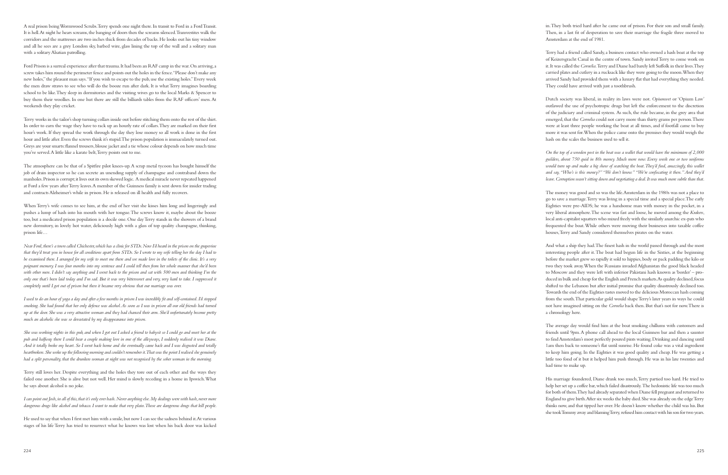in. They both tried hard after he came out of prison. For their son and small family. Then, in a last fit of desperation to save their marriage the fragile three moved to Amsterdam at the end of 1981.

Terry had a friend called Sandy, a business contact who owned a hash boat at the top of Keizersgracht Canal in the centre of town. Sandy invited Terry to come work on it. It was called the *Cornelia*. Terry and Diane had barely left Suffolk in their lives. They carried plates and cutlery in a rucksack like they were going to the moon. When they arrived Sandy had provided them with a luxury flat that had everything they needed. They could have arrived with just a toothbrush.

Dutch society was liberal, in reality its laws were not. *Opiumwet* or 'Opium Law' outlawed the use of psychotropic drugs but left the enforcement to the discretion of the judiciary and criminal system. As such, the rule became, in the grey area that emerged, that the *Cornelia* could not carry more than thirty grams per person. There were at least three people working the boat at all times, and if footfall came to buy more it was sent for. When the police came onto the premises they would weigh the hash on the scales the business used to sell it.

*On the top of a wooden post in the boat was a wallet that would have the minimum of 2,000 guilders, about 750 quid in 80s money. Much more now. Every week one or two uniforms*  would turn up and make a big show of searching the boat. They'd find, amazingly, this wallet *and say, "Who's is this money?" "We don't know." "We're confiscating it then." And they'd leave. Corruption wasn't sitting down and negotiating a deal. It was much more subtle than that.*

The money was good and so was the life. Amsterdam in the 1980s was not a place to go to save a marriage. Terry was living in a special time and a special place. The early Eighties were pre-AIDS; he was a handsome man with money in the pocket, in a very liberal atmosphere. The scene was fast and loose, he moved among the *Krakers*, local anti-capitalist squatters who mixed freely with the similarly anarchic ex-pats who frequented the boat. While others were moving their businesses into taxable coffee houses, Terry and Sandy considered themselves pirates on the water.

And what a ship they had. The finest hash in the world passed through and the most interesting people after it. The boat had begun life in the Sixties, at the beginning before the market grew so rapidly it sold to hippies, body or pack padding the kilo or two they took away. When the Russians invaded Afghanistan the good black headed to Moscow and they were left with inferior Pakistani hash known as 'border' – pro duced in bulk and cheap for the English and French markets. As quality declined, focus shifted to the Lebanon but after initial promise that quality disastrously declined too. Towards the end of the Eighties tastes moved to the delicious Moroccan hash coming from the south. That particular gold would shape Terry's later years in ways he could not have imagined sitting on the *Cornelia* back then. But that's not for now. There is a chronology here.

The average day would find him at the boat smoking chillums with customers and friends until 9pm. A phone call ahead to the local Guinness bar and then a saunter to find Amsterdam's most perfectly poured pints waiting. Drinking and dancing until 1am then back to someone's flat until sunrise. He found coke was a vital ingredient to keep him going. In the Eighties it was good quality and cheap. He was getting a little too fond of it but it helped him push through. He was in his late twenties and had time to make up.

His marriage foundered, Diane drank too much, Terry partied too hard. He tried to help her set up a coffee bar, which failed disastrously. The hedonistic life was too much for both of them. They had already separated when Diane fell pregnant and returned to England to give birth. After six weeks the baby died. She was already on the edge Terry thinks now, and that tipped her over. He doesn't know whether the child was his. But she took Tommy away and blaming Terry, refused him contact with his son for two years.

*She was working nights in this pub, and when I got out I asked a friend to babysit so I could go and meet her at the pub and halfway there I could hear a couple making love in one of the alleyways, I suddenly realised it was Diane. And it totally broke my heart. So I went back home and she eventually came back and I was disgusted and totally heartbroken. She woke up the following morning and couldn't remember it. That was the point I realised she genuinely had a split personality, that the drunken woman at night was not recognised by the sober woman in the morning.*

A real prison being Wormwood Scrubs. Terry spends one night there. In transit to Ford in a Ford Transit. It is hell. At night he hears screams, the banging of doors then the screams silenced. Transvestites walk the corridors and the mattresses are two inches thick from decades of backs. He looks out his tiny window and all he sees are a grey London sky, barbed wire, glass lining the top of the wall and a solitary man with a solitary Alsatian patrolling.

Ford Prison is a surreal experience after that trauma. It had been an RAF camp in the war. On arriving, a screw takes him round the perimeter fence and points out the holes in the fence. "Please don't make any new holes," the pleasant man says. "If you wish to escape to the pub, use the existing holes." Every week the men draw straws to see who will do the booze run after dark. It is what Terry imagines boarding school to be like. They sleep in dormitories and the visiting wives go to the local Marks & Spencer to buy them their woollies. In one hut there are still the billiards tables from the RAF officers' mess. At weekends they play cricket.

Terry works in the tailor's shop turning collars inside out before stitching them onto the rest of the shirt. In order to earn the wage they have to rack up an hourly rate of collars. They are marked on their first hour's work. If they spread the work through the day they lose money so all work is done in the first hour and little after. Even the screws think it's stupid. The prison population is immaculately turned out. Greys are your smarts: flannel trousers, blouse jacket and a tie whose colour depends on how much time you've served. A little like a karate belt, Terry points out to me.

The atmosphere can be that of a Spitfire pilot knees-up. A scrap metal tycoon has bought himself the job of drain inspector so he can secrete an unending supply of champagne and contraband down the manholes. Prison is corrupt; it lives out its own skewed logic. A medical miracle never repeated happened at Ford a few years after Terry leaves. A member of the Guinness family is sent down for insider trading and contracts Alzheimer's while in prison. He is released on ill health and fully recovers.

When Terry's wife comes to see him, at the end of her visit she kisses him long and lingeringly and pushes a lump of hash into his mouth with her tongue. The screws know it, maybe about the booze too, but a medicated prison population is a docile one. One day Terry stands in the showers of a brand new dormitory, in lovely hot water, deliciously high with a glass of top quality champagne, thinking, prison life…

*Near Ford, there's a town called Chichester, which has a clinic for STDs. Now I'd heard in the prison on the grapevine that they'd treat you in house for all conditions apart from STDs. So I wrote to my wife telling her the day I had to be examined there. I arranged for my wife to meet me there and we made love in the toilets of the clinic. It's a very poignant memory. I was four months into my sentence and I could tell then from her whole manner that she'd been with other men. I didn't say anything and I went back to the prison and sat with 500 men and thinking I'm the only one that's been laid today and I'm sad. But it was very bittersweet and very, very hard to take. I suppressed it completely until I got out of prison but then it became very obvious that our marriage was over.*

*I used to do an hour of yoga a day and after a few months in prison I was incredibly fit and self-contained. I'd stopped smoking. She had found that her only defence was alcohol. As soon as I was in prison all our old friends had turned up at the door. She was a very attractive woman and they had chanced their arm. She'd unfortunately become pretty much an alcoholic she was so devastated by my disappearance into prison.*

Terry still loves her. Despite everything and the holes they tore out of each other and the ways they failed one another. She is alive but not well. Her mind is slowly receding in a home in Ipswich. What he says about alcohol is no joke.

*I can point out Josh, in all of this, that it's only ever hash. Never anything else. My dealings were with hash, never more dangerous drugs like alcohol and tobacco. I want to make that very plain. Those are dangerous drugs that kill people.*

He used to say that when I first met him with a smile, but now I can see the sadness behind it. At various stages of his life Terry has tried to resurrect what he knows was lost when his back door was kicked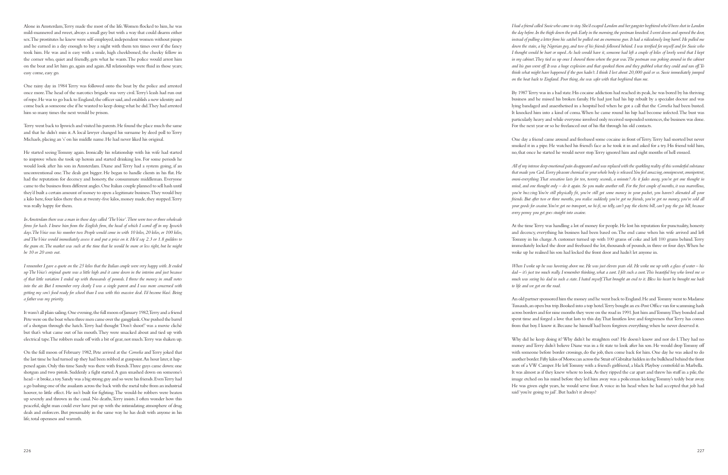*I had a friend called Susie who came to stay. She'd escaped London and her gangster boyfriend who'd been shot in London the day before. In the thigh down the pub. Early in the morning, the postman knocked. I went down and opened the door, instead of pulling a letter from his satchel he pulled out an enormous gun. It had a ridiculously long barrel. He pulled me down the stairs, a big Nigerian guy, and two of his friends followed behind. I was terrified for myself and for Susie who I thought would be hurt or raped. As luck would have it, someone had left a couple of kilos of lovely weed that I kept in my cabinet. They tied us up once I showed them where the gear was. The postman was poking around in the cabinet and his gun went off. It was a huge explosion and that spooked them and they grabbed what they could and ran off. To think what might have happened if the gun hadn't. I think I lost about 20,000 quid or so. Susie immediately jumped on the boat back to England. Poor thing, she was safer with that boyfriend than me.*

By 1987 Terry was in a bad state. His cocaine addiction had reached its peak, he was bored by his thriving business and he missed his broken family. He had just had his hip rebuilt by a specialist doctor and was lying bandaged and anaesthetised in a hospital bed when he got a call that the *Cornelia* had been busted. It knocked him into a kind of coma. When he came round his hip had become infected. The bust was particularly heavy and while everyone involved only received suspended sentences, the business was done. For the next year or so he freelanced out of his flat through his old contacts.

One day a friend came around and freebased some cocaine in front of Terry. Terry had snorted but never smoked it in a pipe. He watched his friend's face as he took it in and asked for a try. His friend told him, no, that once he started he would never stop. Terry ignored him and eight months of hell ensued.

*All of my intense deep emotional pain disappeared and was replaced with the sparkling reality of this wonderful substance that made you God. Every pleasure chemical in your whole body is released. You feel amazing, omnipresent, omnipotent, omni-everything. That sensation lasts for ten, twenty seconds, a minute? As it fades away, you've got one thought in mind, and one thought only – do it again. So you make another roll. For the first couple of months, it was marvellous, you're buzzing. You're still physically fit, you've still got some money in your pocket, you haven't alienated all your friends. But after two or three months, you realise suddenly you've got no friends, you've got no money, you've sold all your goods for cocaine. You've got no transport, no hi-fi, no telly, can't pay the electric bill, can't pay the gas bill, because every penny you get goes straight into cocaine.*

At the time Terry was handling a lot of money for people. He lost his reputation for punctuality, honesty and decency, everything his business had been based on. The end came when his wife arrived and left Tommy in his charge. A customer turned up with 100 grams of coke and left 100 grams behind. Terry immediately locked the door and freebased the lot, thousands of pounds, in three or four days. When he woke up he realised his son had locked the front door and hadn't let anyone in.

*When I woke up he was hovering above me. He was just eleven years old. He woke me up with a glass of water – his dad – it's just too much really. I remember thinking, what a cunt. I felt such a cunt. This beautiful boy who loved me so much was seeing his dad in such a state. I hated myself. That brought an end to it. Bless his heart he brought me back to life and we got on the road.*

An old partner sponsored him the money and he went back to England. He and Tommy went to Madame Tussauds, an open bus trip. Booked into a top hotel. Terry bought an ex-Post Office van for scamming hash across borders and for nine months they were on the road in 1991. Just him and Tommy. They bonded and spent time and forged a love that lasts to this day. That limitless love and forgiveness that Terry has comes from that boy. I know it. Because he himself had been forgiven everything when he never deserved it.

Why did he keep doing it? Why didn't he straighten out? He doesn't know and nor do I. They had no money and Terry didn't believe Diane was in a fit state to look after his son. He would drop Tommy off with someone before border crossings, do the job, then come back for him. One day he was asked to do another border. Fifty kilos of Moroccan across the Strait of Gibraltar hidden in the bulkhead behind the front seats of a VW Camper. He left Tommy with a friend's girlfriend, a black Playboy centrefold in Marbella. It was almost as if they knew where to look. As they ripped the car apart and threw his stuff in a pile, the image etched on his mind before they led him away was a policeman kicking Tommy's teddy bear away. He was given eight years, he would serve four. A voice in his head when he had accepted that job had said 'you're going to jail'. But hadn't it always?

Alone in Amsterdam, Terry made the most of the life. Women flocked to him, he was mild-mannered and sweet, always a small guy but with a way that could disarm either sex. The prostitutes he knew were self-employed, independent women without pimps and he earned in a day enough to buy a night with them ten times over if the fancy took him. He was and is easy with a smile, high cheekboned, the cheeky fellow in the corner who, quiet and friendly, gets what he wants. The police would arrest him on the boat and let him go, again and again. All relationships were fluid in those years; easy come, easy go.

One rainy day in 1984 Terry was followed onto the boat by the police and arrested once more. The head of the narcotics brigade was very civil. Terry's leash had run out of rope. He was to go back to England, the officer said, and establish a new identity and come back as someone else if he wanted to keep doing what he did. They had arrested him so many times the next would be prison.

Terry went back to Ipswich and visited his parents. He found the place much the same and that he didn't miss it. A local lawyer changed his surname by deed poll to Terry Michaels, placing an 's' on his middle name. He had never liked his original.

He started seeing Tommy again. Ironically his relationship with his wife had started to improve when she took up heroin and started drinking less. For some periods he would look after his son in Amsterdam. Diane and Terry had a system going, if an unconventional one. The deals got bigger. He began to handle clients in his flat. He had the reputation for decency and honesty, the consummate middleman. Everyone came to the business from different angles. One Italian couple planned to sell hash until they'd built a certain amount of money to open a legitimate business. They would buy a kilo here, four kilos there then at twenty-five kilos, money made, they stopped. Terry was really happy for them.

*In Amsterdam there was a man in those days called 'The Voice'. There were two or three wholesale firms for hash. I knew him from the English firm, the head of which I scored off in my Ipswich days. The Voice was his number two. People would come in with 10 kilos, 20 kilos, or 100 kilos, and The Voice would immediately assess it and put a price on it. He'd say 2.3 or 1.8 guilders to the gram etc. The market was such at the time that he would be more or less right, but he might be 10 or 20 cents out.*

*I remember I gave a quote on the 25 kilos that the Italian couple were very happy with. It ended up The Voice's original quote was a little high and it came down in the interim and just because of that little variation I ended up with thousands of pounds. I threw the money in small notes into the air. But I remember very clearly I was a single parent and I was more concerned with getting my son's food ready for school than I was with this massive deal. I'd become blasé. Being a father was my priority.*

It wasn't all plain sailing. One evening, the full moon of January 1982, Terry and a friend Pete were on the boat when three men came over the gangplank. One pushed the barrel of a shotgun through the hatch. Terry had thought 'Don't shoot!' was a movie cliché but that's what came out of his mouth. They were smacked about and tied up with electrical tape. The robbers made off with a bit of gear, not much. Terry was shaken up.

On the full moon of February 1982, Pete arrived at the *Cornelia* and Terry joked that the last time he had turned up they had been robbed at gunpoint. An hour later, it happened again. Only this time Sandy was there with friends. Three guys came down: one shotgun and two pistols. Suddenly a fight started. A gun smashed down on someone's head – it broke, a toy. Sandy was a big strong guy and so were his friends. Even Terry had a go bashing one of the assailants across the back with the metal tube from an industrial hoover, to little effect. He isn't built for fighting. The would-be robbers were beaten up severely and thrown in the canal. No deaths, Terry insists. I often wonder how this peaceful, slight man could ever have put up with the intimidating atmosphere of drug deals and enforcers. But presumably in the same way he has dealt with anyone in his life, total openness and warmth.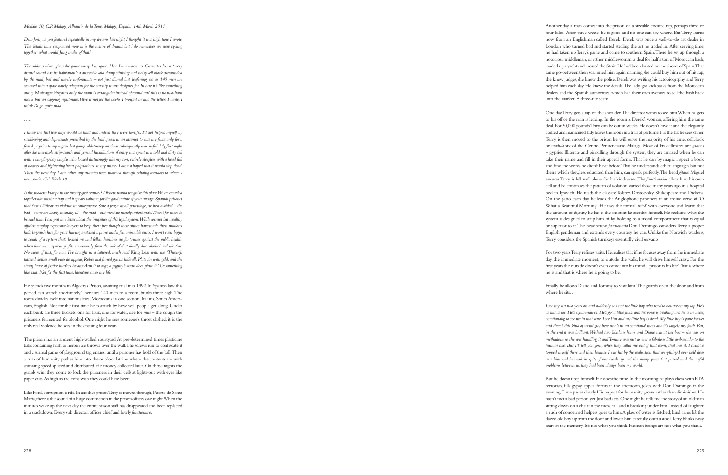Another day a man comes into the prison on a sizeable cocaine rap, perhaps three or four kilos. After three weeks he is gone and no one can say where. But Terry learns how from an Englishman called Derek. Derek was once a well-to-do art dealer in London who turned bad and started stealing the art he traded in. After serving time, he had taken up Terry's game and come to southern Spain. There he set up through a notorious middleman, or rather middlewoman, a deal for half a ton of Moroccan hash, loaded up a yacht and crossed the Strait. He had been busted on the shores of Spain. That same go-between then scammed him again claiming she could buy him out of his rap; she knew judges, she knew the police. Derek was writing his autobiography and Terry helped him each day. He knew the details. The lady got kickbacks from the Moroccan dealers and the Spanish authorities, which had their own avenues to sell the hash back into the market. A three-tier scam.

Finally he allows Diane and Tommy to visit him. The guards open the door and from where he sits

One day Terry gets a tap on the shoulder. The director wants to see him. When he gets to his office the man is leaving. In the room is Derek's woman, offering him the same deal. For 30,000 pounds Terry can be out in weeks. He doesn't have it and the elegantly coiffed and manicured lady leaves the room in a trail of perfume. It is the last he sees of her. Terry is then moved to the prison he will serve the majority of his time, cellblock or *modulo* six of the Centro Penitenciario Malaga. Most of his cellmates are *gitanos* – gypsies. Illiterate and pinballing through the system, they are amazed when he can take their name and fill in their appeal forms. That he can by magic inspect a book and find the words he didn't have before. That he understands other languages but not theirs which they, less educated than him, can speak perfectly. The head *gitano* Miguel ensures Terry is left well alone for his kindnesses. The *functionarios* allow him his own cell and he continues the pattern of isolation started those many years ago in a hospital bed in Ipswich. He reads the classics: Tolstoy, Dostoevsky, Shakespeare and Dickens. On the patio each day he leads the Anglophone prisoners in an ironic verse of 'O What a Beautiful Morning'. He uses the formal '*usted*' with everyone and learns that the amount of dignity he has is the amount he ascribes himself. He reclaims what the system is designed to strip him of by holding to a moral comportment that is equal or superior to it. The head screw *functionario* Don Domingo considers Terry a proper English gentleman and extends every courtesy he can. Unlike the Norwich wardens, Terry considers the Spanish turnkeys essentially civil servants.

For two years Terry refuses visits. He realises that if he focuses away from the immediate day, the immediate moment, to outside the walls, he will drive himself crazy. For the first years the outside doesn't even come into his mind – prison is his life. That is where he is and that is where he is going to be.

*I see my son two years on and suddenly he's not the little boy who used to bounce on my lap. He's as tall as me. He's square-jawed. He's got a little fuzz and his voice is breaking and he is in pieces, emotionally, to see me in that state. I see him and my little boy is dead. My little boy is gone forever and there's this kind of weird guy here who's in an emotional mess and it's largely my fault. But, in the end it was brilliant. We had two fabulous hours and Diane was at her best – she was on methadone so she was handling it and Tommy was just as ever a fabulous little ambassador to the human race. But I'll tell you Josh, when they called me out of that room, that was it. I could've*  topped myself there and then because I was hit by the realisation that everything I ever held dear *was him and her and in spite of our break up and the many years that passed and the awful problems between us, they had been always been my world.*

But he doesn't top himself. He does the time. In the morning he plays chess with ETA terrorists, fills gypsy appeal forms in the afternoon, jokes with Don Domingo in the evening. Time passes slowly. His respect for humanity grows rather than diminishes. He hasn't met a bad person yet. Just bad acts. One night he tells me the story of an old man sitting down on a chair in the mess hall and it breaking under him. Instead of laughter, a rush of concerned helpers goes to him. A glass of water is fetched; kind arms lift the dazed old boy up from the floor and lower him carefully onto a stool. Terry blinks away tears at the memory. It's not what you think. Human beings are not what you think.

## *Modulo 10, C.P. Malaga, Alhaurin de la Torre, Malaga, España. 14th March 2011.*

*Dear Josh, as you featured repeatedly in my dreams last night I thought it was high time I wrote. The details have evaporated now as is the nature of dreams but I do remember we were cycling together: what would Jung make of that?*

*The address above gives the game away I imagine. Here I am where, as Cervantes has it 'every dismal sound has its habitation': a miserable cold damp stinking and noisy cell block surrounded by the mad, bad and merely unfortunate – not just dismal but deafening too as 140 men are crowded into a space barely adequate for the seventy it was designed for. In here it's like something out of* Midnight Express *only the room is rectangular instead of round and this is no two-hour movie but an ongoing nightmare. Were it not for the books I brought in and the letters I write, I think I'd go quite mad.*

*…..*

*I knew the first few days would be hard and indeed they were horrific. I'd not helped myself by swallowing anti-depressants prescribed by the local quack in an attempt to ease my fears: only for a few days prior to my ingress but going cold-turkey on them subsequently was awful. My first night after the inevitable strip-search and general humiliations of entry was spent in a cold and dirty cell*  with a bungling boy burglar who looked disturbingly like my son; entirely sleepless with a head full *of horrors and frightening heart palpitations. In my misery I almost hoped that it would stop dead. Then the next day I and other unfortunates were marched through echoing corridors to where I now reside: Cell Block 10.* 

*Is this modern Europe in the twenty-first century? Dickens would recognise this place. We are crowded together like rats in a trap and it speaks volumes for the good nature of your average Spanish prisoner that there's little or no violence in consequence. Sure a few, a small percentage, are best avoided – the bad – some are clearly mentally ill – the mad – but most are merely unfortunate. There's far more to be said than I can put in a letter about the iniquities of this legal system. While corrupt but wealthy officials employ expensive lawyers to keep them free though their crimes have made them millions, kids languish here for years having snatched a purse and a few miserable euros. I won't even begin to speak of a system that's locked me and fellow hashines up for 'crimes against the public health'*  when that same system profits enormously from the sale of that deadly duo: alcohol and nicotine. *No more of that, for now. I've brought in a battered, much read* King Lear *with me. 'Through tattered clothes small vices do appear; Robes and furred gowns hide all. Plate sin with gold, and the strong lance of justice hurtless breaks; Arm it in rags, a pygmy's straw does pierce it.' Or something like that. Not for the first time, literature saves my life.*

He spends five months in Algeciras Prison, awaiting trial into 1992. In Spanish law this period can stretch indefinitely. There are 140 men to a room, bunks three high. The room divides itself into nationalities, Moroccans in one section, Italians, South Ameri cans, English. Not for the first time he is struck by how well people get along. Under each bunk are three buckets: one for fruit, one for water, one for *mila* – the dough the prisoners fermented for alcohol. One night he sees someone's throat slashed, it is the only real violence he sees in the ensuing four years.

The prison has an ancient high-walled courtyard. At pre-determined times plasticine balls containing hash or heroin are thrown over the wall. The screws run to confiscate it and a surreal game of playground tag ensues, until a prisoner has hold of the ball. Then a rush of humanity pushes him into the outdoor latrine where the contents are with stunning speed spliced and distributed, the money collected later. On those nights the guards win, they come to lock the prisoners in their cells at lights-out with eyes like paper cuts. As high as the cons wish they could have been.

Like Ford, corruption is rife. In another prison Terry is moved through, Puerto de Santa Maria, there is the sound of a huge commotion in the prison offices one night. When the inmates wake up the next day the entire prison staff has disappeared and been replaced in a crackdown. Every sub director, officer chief and lowly *functionario* .